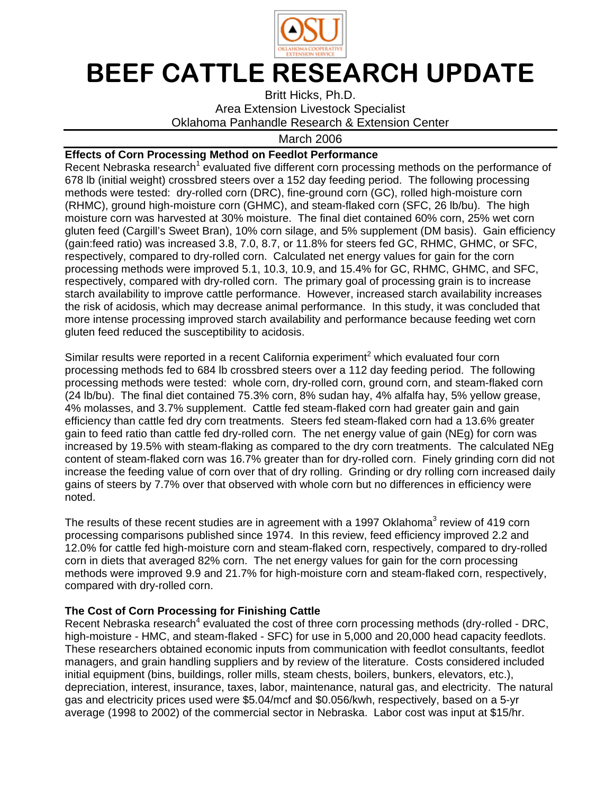

## BEEF CATTLE RESEARCH UPDATE

Britt Hicks, Ph.D. Area Extension Livestock Specialist Oklahoma Panhandle Research & Extension Center

March 2006

## **Effects of Corn Processing Method on Feedlot Performance**

Recent Nebraska research<sup>1</sup> evaluated five different corn processing methods on the performance of 678 lb (initial weight) crossbred steers over a 152 day feeding period. The following processing methods were tested: dry-rolled corn (DRC), fine-ground corn (GC), rolled high-moisture corn (RHMC), ground high-moisture corn (GHMC), and steam-flaked corn (SFC, 26 lb/bu). The high moisture corn was harvested at 30% moisture. The final diet contained 60% corn, 25% wet corn gluten feed (Cargill's Sweet Bran), 10% corn silage, and 5% supplement (DM basis). Gain efficiency (gain:feed ratio) was increased 3.8, 7.0, 8.7, or 11.8% for steers fed GC, RHMC, GHMC, or SFC, respectively, compared to dry-rolled corn. Calculated net energy values for gain for the corn processing methods were improved 5.1, 10.3, 10.9, and 15.4% for GC, RHMC, GHMC, and SFC, respectively, compared with dry-rolled corn. The primary goal of processing grain is to increase starch availability to improve cattle performance. However, increased starch availability increases the risk of acidosis, which may decrease animal performance. In this study, it was concluded that more intense processing improved starch availability and performance because feeding wet corn gluten feed reduced the susceptibility to acidosis.

Similar results were reported in a recent California experiment<sup>2</sup> which evaluated four corn processing methods fed to 684 lb crossbred steers over a 112 day feeding period. The following processing methods were tested: whole corn, dry-rolled corn, ground corn, and steam-flaked corn (24 lb/bu). The final diet contained 75.3% corn, 8% sudan hay, 4% alfalfa hay, 5% yellow grease, 4% molasses, and 3.7% supplement. Cattle fed steam-flaked corn had greater gain and gain efficiency than cattle fed dry corn treatments. Steers fed steam-flaked corn had a 13.6% greater gain to feed ratio than cattle fed dry-rolled corn. The net energy value of gain (NEg) for corn was increased by 19.5% with steam-flaking as compared to the dry corn treatments. The calculated NEg content of steam-flaked corn was 16.7% greater than for dry-rolled corn. Finely grinding corn did not increase the feeding value of corn over that of dry rolling. Grinding or dry rolling corn increased daily gains of steers by 7.7% over that observed with whole corn but no differences in efficiency were noted.

The results of these recent studies are in agreement with a 1997 Oklahoma<sup>3</sup> review of 419 corn processing comparisons published since 1974. In this review, feed efficiency improved 2.2 and 12.0% for cattle fed high-moisture corn and steam-flaked corn, respectively, compared to dry-rolled corn in diets that averaged 82% corn. The net energy values for gain for the corn processing methods were improved 9.9 and 21.7% for high-moisture corn and steam-flaked corn, respectively, compared with dry-rolled corn.

## **The Cost of Corn Processing for Finishing Cattle**

Recent Nebraska research<sup>4</sup> evaluated the cost of three corn processing methods (dry-rolled - DRC, high-moisture - HMC, and steam-flaked - SFC) for use in 5,000 and 20,000 head capacity feedlots. These researchers obtained economic inputs from communication with feedlot consultants, feedlot managers, and grain handling suppliers and by review of the literature. Costs considered included initial equipment (bins, buildings, roller mills, steam chests, boilers, bunkers, elevators, etc.), depreciation, interest, insurance, taxes, labor, maintenance, natural gas, and electricity. The natural gas and electricity prices used were \$5.04/mcf and \$0.056/kwh, respectively, based on a 5-yr average (1998 to 2002) of the commercial sector in Nebraska. Labor cost was input at \$15/hr.